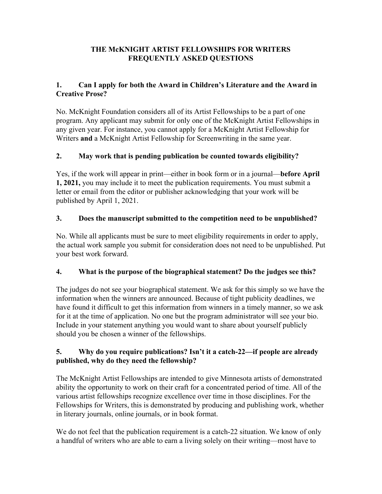## **THE McKNIGHT ARTIST FELLOWSHIPS FOR WRITERS FREQUENTLY ASKED QUESTIONS**

## **1. Can I apply for both the Award in Children's Literature and the Award in Creative Prose?**

No. McKnight Foundation considers all of its Artist Fellowships to be a part of one program. Any applicant may submit for only one of the McKnight Artist Fellowships in any given year. For instance, you cannot apply for a McKnight Artist Fellowship for Writers **and** a McKnight Artist Fellowship for Screenwriting in the same year.

# **2. May work that is pending publication be counted towards eligibility?**

Yes, if the work will appear in print—either in book form or in a journal—**before April 1, 2021,** you may include it to meet the publication requirements. You must submit a letter or email from the editor or publisher acknowledging that your work will be published by April 1, 2021.

### **3. Does the manuscript submitted to the competition need to be unpublished?**

No. While all applicants must be sure to meet eligibility requirements in order to apply, the actual work sample you submit for consideration does not need to be unpublished. Put your best work forward.

### **4. What is the purpose of the biographical statement? Do the judges see this?**

The judges do not see your biographical statement. We ask for this simply so we have the information when the winners are announced. Because of tight publicity deadlines, we have found it difficult to get this information from winners in a timely manner, so we ask for it at the time of application. No one but the program administrator will see your bio. Include in your statement anything you would want to share about yourself publicly should you be chosen a winner of the fellowships.

### **5. Why do you require publications? Isn't it a catch-22—if people are already published, why do they need the fellowship?**

The McKnight Artist Fellowships are intended to give Minnesota artists of demonstrated ability the opportunity to work on their craft for a concentrated period of time. All of the various artist fellowships recognize excellence over time in those disciplines. For the Fellowships for Writers, this is demonstrated by producing and publishing work, whether in literary journals, online journals, or in book format.

We do not feel that the publication requirement is a catch-22 situation. We know of only a handful of writers who are able to earn a living solely on their writing—most have to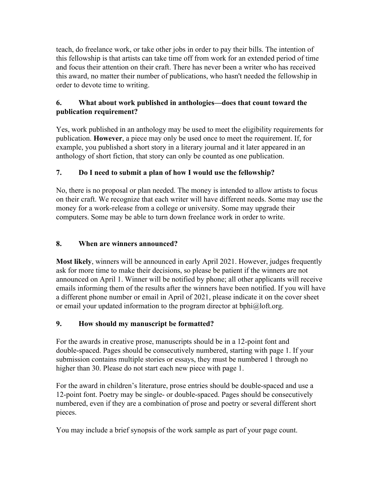teach, do freelance work, or take other jobs in order to pay their bills. The intention of this fellowship is that artists can take time off from work for an extended period of time and focus their attention on their craft. There has never been a writer who has received this award, no matter their number of publications, who hasn't needed the fellowship in order to devote time to writing.

## **6. What about work published in anthologies—does that count toward the publication requirement?**

Yes, work published in an anthology may be used to meet the eligibility requirements for publication. **However**, a piece may only be used once to meet the requirement. If, for example, you published a short story in a literary journal and it later appeared in an anthology of short fiction, that story can only be counted as one publication.

# **7. Do I need to submit a plan of how I would use the fellowship?**

No, there is no proposal or plan needed. The money is intended to allow artists to focus on their craft. We recognize that each writer will have different needs. Some may use the money for a work-release from a college or university. Some may upgrade their computers. Some may be able to turn down freelance work in order to write.

### **8. When are winners announced?**

**Most likely**, winners will be announced in early April 2021. However, judges frequently ask for more time to make their decisions, so please be patient if the winners are not announced on April 1. Winner will be notified by phone; all other applicants will receive emails informing them of the results after the winners have been notified. If you will have a different phone number or email in April of 2021, please indicate it on the cover sheet or email your updated information to the program director at bphi@loft.org.

### **9. How should my manuscript be formatted?**

For the awards in creative prose, manuscripts should be in a 12-point font and double-spaced. Pages should be consecutively numbered, starting with page 1. If your submission contains multiple stories or essays, they must be numbered 1 through no higher than 30. Please do not start each new piece with page 1.

For the award in children's literature, prose entries should be double-spaced and use a 12-point font. Poetry may be single- or double-spaced. Pages should be consecutively numbered, even if they are a combination of prose and poetry or several different short pieces.

You may include a brief synopsis of the work sample as part of your page count.